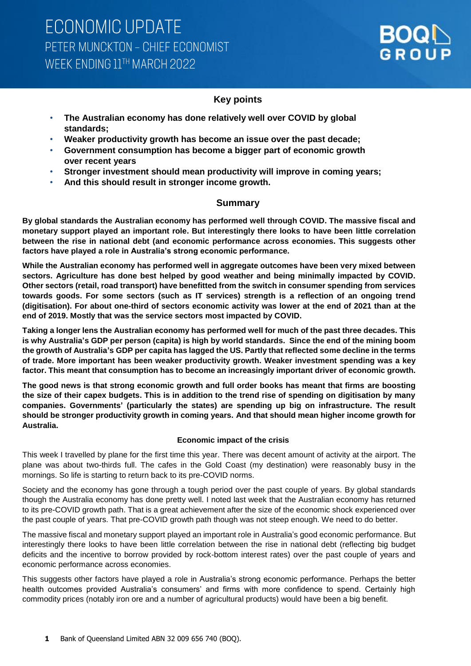## **Key points**

- **The Australian economy has done relatively well over COVID by global standards;**
- **Weaker productivity growth has become an issue over the past decade;**
- **Government consumption has become a bigger part of economic growth over recent years**
- **Stronger investment should mean productivity will improve in coming years;**
- **And this should result in stronger income growth.**

### **Summary**

**By global standards the Australian economy has performed well through COVID. The massive fiscal and monetary support played an important role. But interestingly there looks to have been little correlation between the rise in national debt (and economic performance across economies. This suggests other factors have played a role in Australia's strong economic performance.** 

**While the Australian economy has performed well in aggregate outcomes have been very mixed between sectors. Agriculture has done best helped by good weather and being minimally impacted by COVID. Other sectors (retail, road transport) have benefitted from the switch in consumer spending from services towards goods. For some sectors (such as IT services) strength is a reflection of an ongoing trend (digitisation). For about one-third of sectors economic activity was lower at the end of 2021 than at the end of 2019. Mostly that was the service sectors most impacted by COVID.**

**Taking a longer lens the Australian economy has performed well for much of the past three decades. This is why Australia's GDP per person (capita) is high by world standards. Since the end of the mining boom the growth of Australia's GDP per capita has lagged the US. Partly that reflected some decline in the terms of trade. More important has been weaker productivity growth. Weaker investment spending was a key factor. This meant that consumption has to become an increasingly important driver of economic growth.** 

**The good news is that strong economic growth and full order books has meant that firms are boosting the size of their capex budgets. This is in addition to the trend rise of spending on digitisation by many companies. Governments' (particularly the states) are spending up big on infrastructure. The result should be stronger productivity growth in coming years. And that should mean higher income growth for Australia.**

### **Economic impact of the crisis**

This week I travelled by plane for the first time this year. There was decent amount of activity at the airport. The plane was about two-thirds full. The cafes in the Gold Coast (my destination) were reasonably busy in the mornings. So life is starting to return back to its pre-COVID norms.

Society and the economy has gone through a tough period over the past couple of years. By global standards though the Australia economy has done pretty well. I noted last week that the Australian economy has returned to its pre-COVID growth path. That is a great achievement after the size of the economic shock experienced over the past couple of years. That pre-COVID growth path though was not steep enough. We need to do better.

The massive fiscal and monetary support played an important role in Australia's good economic performance. But interestingly there looks to have been little correlation between the rise in national debt (reflecting big budget deficits and the incentive to borrow provided by rock-bottom interest rates) over the past couple of years and economic performance across economies.

This suggests other factors have played a role in Australia's strong economic performance. Perhaps the better health outcomes provided Australia's consumers' and firms with more confidence to spend. Certainly high commodity prices (notably iron ore and a number of agricultural products) would have been a big benefit.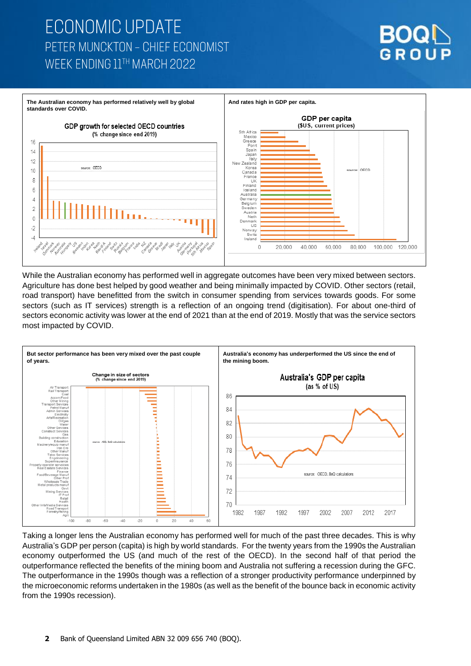# **ECONOMIC UPDATE** PETER MUNCKTON - CHIEF ECONOMIST WEEK ENDING 11TH MARCH 2022





While the Australian economy has performed well in aggregate outcomes have been very mixed between sectors. Agriculture has done best helped by good weather and being minimally impacted by COVID. Other sectors (retail, road transport) have benefitted from the switch in consumer spending from services towards goods. For some sectors (such as IT services) strength is a reflection of an ongoing trend (digitisation). For about one-third of sectors economic activity was lower at the end of 2021 than at the end of 2019. Mostly that was the service sectors most impacted by COVID.



Taking a longer lens the Australian economy has performed well for much of the past three decades. This is why Australia's GDP per person (capita) is high by world standards. For the twenty years from the 1990s the Australian economy outperformed the US (and much of the rest of the OECD). In the second half of that period the outperformance reflected the benefits of the mining boom and Australia not suffering a recession during the GFC. The outperformance in the 1990s though was a reflection of a stronger productivity performance underpinned by the microeconomic reforms undertaken in the 1980s (as well as the benefit of the bounce back in economic activity from the 1990s recession).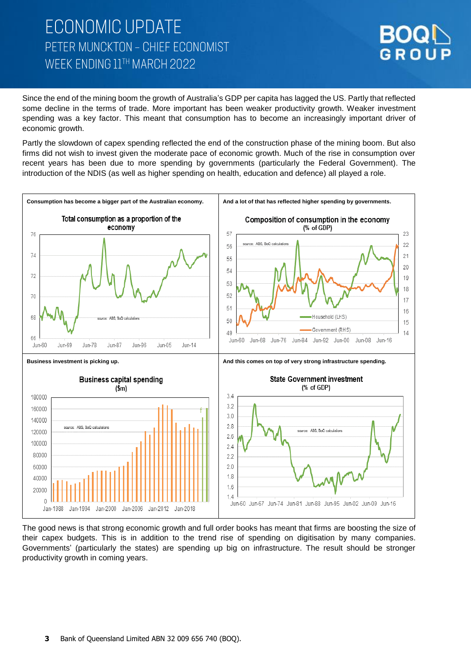## **ECONOMIC UPDATE** PETER MUNCKTON - CHIEF ECONOMIST WEEK ENDING 11TH MARCH 2022



Since the end of the mining boom the growth of Australia's GDP per capita has lagged the US. Partly that reflected some decline in the terms of trade. More important has been weaker productivity growth. Weaker investment spending was a key factor. This meant that consumption has to become an increasingly important driver of economic growth.

Partly the slowdown of capex spending reflected the end of the construction phase of the mining boom. But also firms did not wish to invest given the moderate pace of economic growth. Much of the rise in consumption over recent years has been due to more spending by governments (particularly the Federal Government). The introduction of the NDIS (as well as higher spending on health, education and defence) all played a role.



The good news is that strong economic growth and full order books has meant that firms are boosting the size of their capex budgets. This is in addition to the trend rise of spending on digitisation by many companies. Governments' (particularly the states) are spending up big on infrastructure. The result should be stronger productivity growth in coming years.